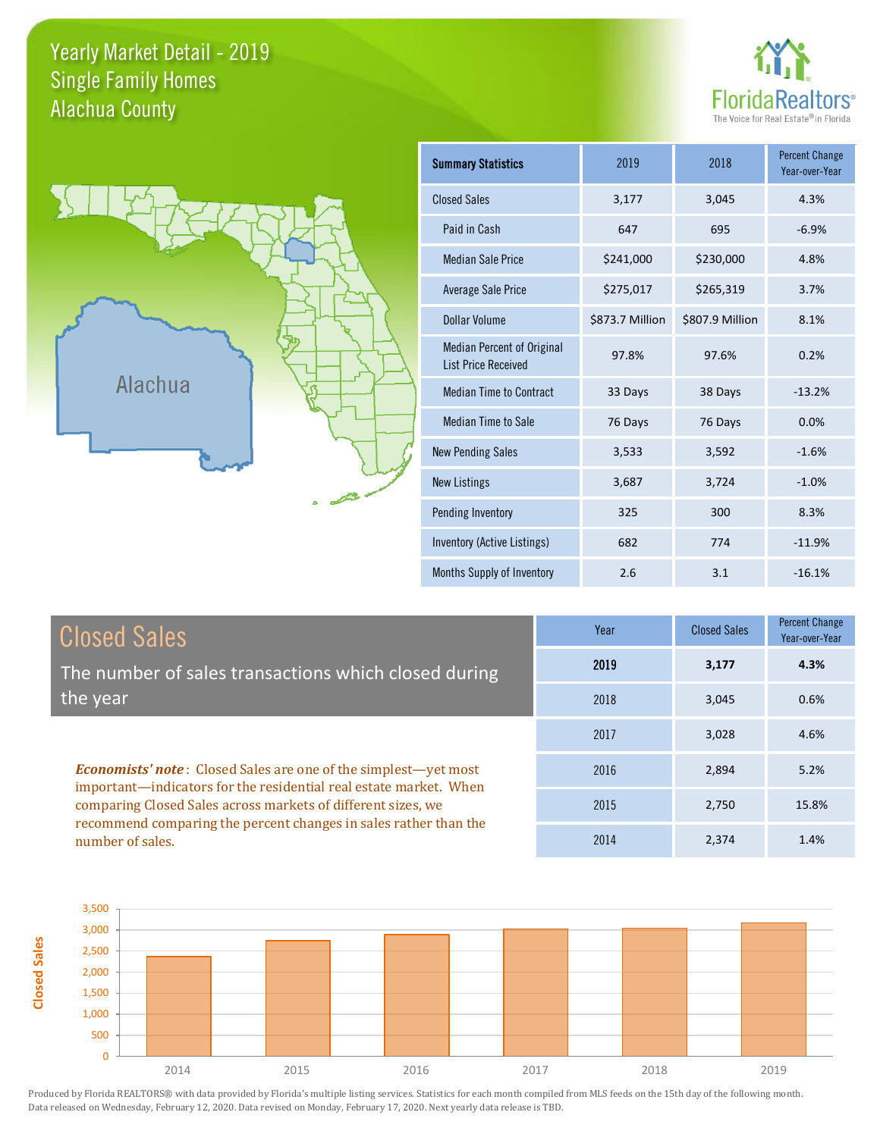## Yearly Market Detail - 2019 Alachua County Single Family Homes





| <b>Summary Statistics</b>                                       | 2019            | 2018            | <b>Percent Change</b><br>Year-over-Year |
|-----------------------------------------------------------------|-----------------|-----------------|-----------------------------------------|
| <b>Closed Sales</b>                                             | 3,177           | 3,045           | 4.3%                                    |
| Paid in Cash                                                    | 647             | 695             | $-6.9%$                                 |
| <b>Median Sale Price</b>                                        | \$241,000       | \$230,000       | 4.8%                                    |
| Average Sale Price                                              | \$275,017       | \$265,319       | 3.7%                                    |
| Dollar Volume                                                   | \$873.7 Million | \$807.9 Million | 8.1%                                    |
| <b>Median Percent of Original</b><br><b>List Price Received</b> | 97.8%           | 97.6%           | 0.2%                                    |
| <b>Median Time to Contract</b>                                  | 33 Days         | 38 Days         | $-13.2%$                                |
| Median Time to Sale                                             | 76 Days         | 76 Days         | 0.0%                                    |
| <b>New Pending Sales</b>                                        | 3,533           | 3,592           | $-1.6%$                                 |
| <b>New Listings</b>                                             | 3,687           | 3,724           | $-1.0%$                                 |
| Pending Inventory                                               | 325             | 300             | 8.3%                                    |
| Inventory (Active Listings)                                     | 682             | 774             | $-11.9%$                                |
| Months Supply of Inventory                                      | 2.6             | 3.1             | $-16.1%$                                |

| <b>Closed Sales</b>                                                                                                                                                                                         | Year | <b>Closed Sales</b> | <b>Percent Change</b><br>Year-over-Year |
|-------------------------------------------------------------------------------------------------------------------------------------------------------------------------------------------------------------|------|---------------------|-----------------------------------------|
| The number of sales transactions which closed during                                                                                                                                                        | 2019 | 3,177               | 4.3%                                    |
| the year                                                                                                                                                                                                    | 2018 | 3,045               | 0.6%                                    |
|                                                                                                                                                                                                             | 2017 | 3,028               | 4.6%                                    |
| <b>Economists' note:</b> Closed Sales are one of the simplest—yet most<br>important—indicators for the residential real estate market. When<br>comparing Closed Sales across markets of different sizes, we | 2016 | 2,894               | 5.2%                                    |
|                                                                                                                                                                                                             | 2015 | 2,750               | 15.8%                                   |
| recommend comparing the percent changes in sales rather than the<br>number of sales.                                                                                                                        | 2014 | 2,374               | 1.4%                                    |

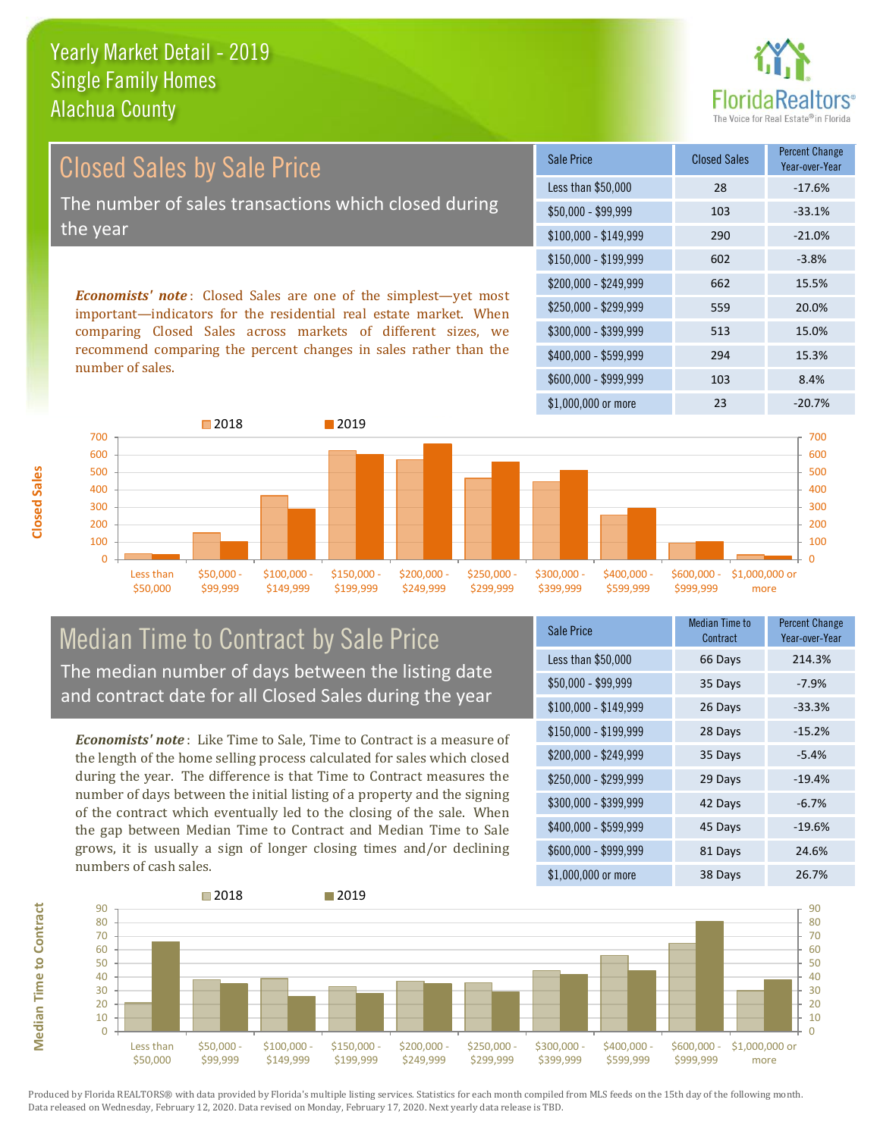#### Yearly Market Detail - 2019 Alachua County Single Family Homes



Year-over-Year

 $$150,000 - $199,999$  602 -3.8% \$200,000 - \$249,999 662 15.5% \$100,000 - \$149,999 290 -21.0% Sale Price Closed Sales Percent Change Less than \$50,000 28 -17.6% \$50,000 - \$99,999 103 -33.1% Closed Sales by Sale Price The number of sales transactions which closed during the year

*Economists' note* : Closed Sales are one of the simplest—yet most important—indicators for the residential real estate market. When comparing Closed Sales across markets of different sizes, we recommend comparing the percent changes in sales rather than the number of sales.



#### Median Time to Contract by Sale Price The median number of days between the listing date and contract date for all Closed Sales during the year

*Economists' note* : Like Time to Sale, Time to Contract is a measure of the length of the home selling process calculated for sales which closed during the year. The difference is that Time to Contract measures the number of days between the initial listing of a property and the signing of the contract which eventually led to the closing of the sale. When the gap between Median Time to Contract and Median Time to Sale grows, it is usually a sign of longer closing times and/or declining numbers of cash sales.

| Sale Price            | <b>Median Time to</b><br>Contract | <b>Percent Change</b><br>Year-over-Year |
|-----------------------|-----------------------------------|-----------------------------------------|
| Less than \$50,000    | 66 Days                           | 214.3%                                  |
| \$50,000 - \$99,999   | 35 Days                           | $-7.9%$                                 |
| $$100,000 - $149,999$ | 26 Days                           | $-33.3%$                                |
| $$150,000 - $199,999$ | 28 Days                           | $-15.2%$                                |
| \$200,000 - \$249,999 | 35 Days                           | $-5.4%$                                 |
| $$250,000 - $299,999$ | 29 Days                           | $-19.4%$                                |
| \$300,000 - \$399,999 | 42 Days                           | $-6.7%$                                 |
| \$400,000 - \$599,999 | 45 Days                           | $-19.6%$                                |
| \$600,000 - \$999,999 | 81 Days                           | 24.6%                                   |
| \$1,000,000 or more   | 38 Days                           | 26.7%                                   |

\$250,000 - \$299,999 559 20.0% \$300,000 - \$399,999 513 15.0%

\$400,000 - \$599,999 294 15.3% \$600,000 - \$999,999 103 8.4%



Produced by Florida REALTORS® with data provided by Florida's multiple listing services. Statistics for each month compiled from MLS feeds on the 15th day of the following month. Data released on Wednesday, February 12, 2020. Data revised on Monday, February 17, 2020. Next yearly data release is TBD.

**Median Time to Contract Median Time to Contract**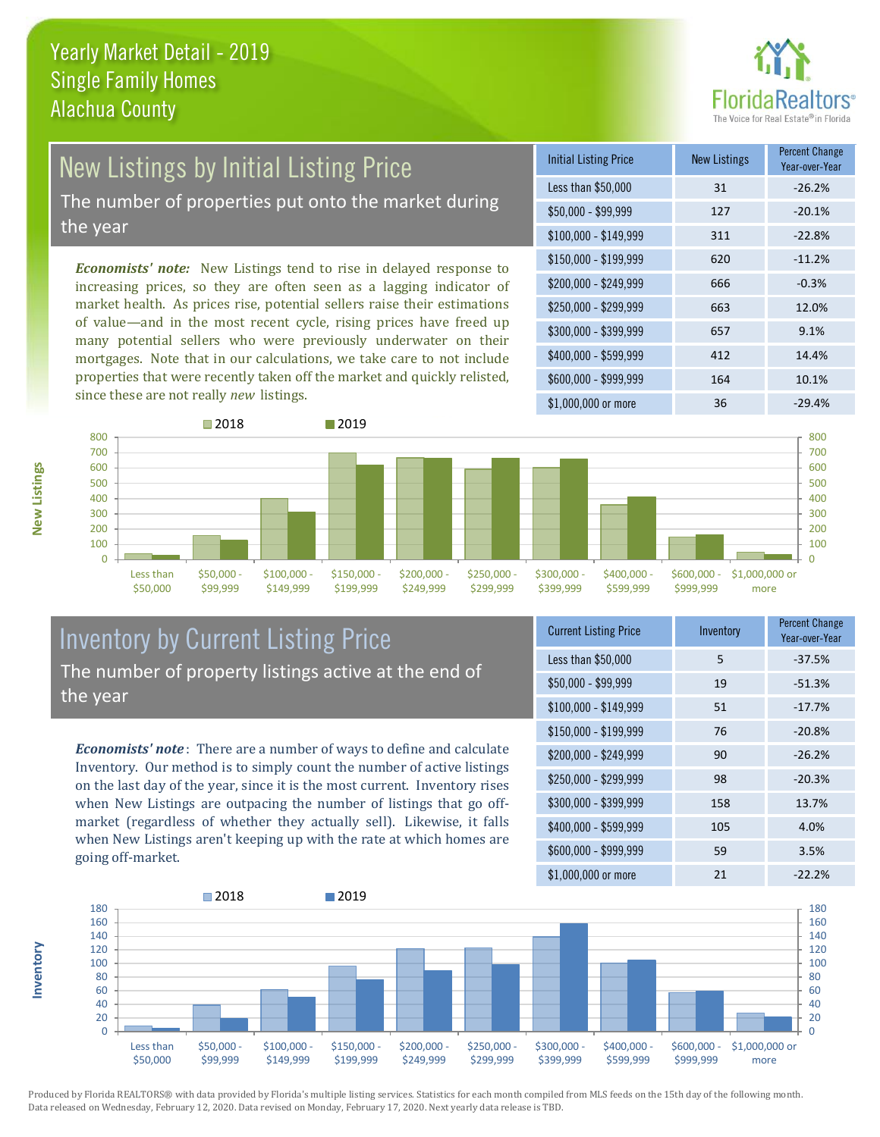

# New Listings by Initial Listing Price

The number of properties put onto the market during the year

*Economists' note:* New Listings tend to rise in delayed response to increasing prices, so they are often seen as a lagging indicator of market health. As prices rise, potential sellers raise their estimations of value—and in the most recent cycle, rising prices have freed up many potential sellers who were previously underwater on their mortgages. Note that in our calculations, we take care to not include properties that were recently taken off the market and quickly relisted, since these are not really *new* listings.

| <b>Initial Listing Price</b> | <b>New Listings</b> | <b>Percent Change</b><br>Year-over-Year |
|------------------------------|---------------------|-----------------------------------------|
| Less than \$50,000           | 31                  | $-26.2%$                                |
| $$50,000 - $99,999$          | 127                 | $-20.1%$                                |
| $$100,000 - $149,999$        | 311                 | $-22.8%$                                |
| $$150,000 - $199,999$        | 620                 | $-11.2%$                                |
| \$200,000 - \$249,999        | 666                 | $-0.3%$                                 |
| \$250,000 - \$299,999        | 663                 | 12.0%                                   |
| \$300,000 - \$399,999        | 657                 | 9.1%                                    |
| \$400,000 - \$599,999        | 412                 | 14.4%                                   |
| \$600,000 - \$999,999        | 164                 | 10.1%                                   |
| \$1,000,000 or more          | 36                  | $-29.4%$                                |



#### Inventory by Current Listing Price The number of property listings active at the end of the year

*Economists' note* : There are a number of ways to define and calculate Inventory. Our method is to simply count the number of active listings on the last day of the year, since it is the most current. Inventory rises when New Listings are outpacing the number of listings that go offmarket (regardless of whether they actually sell). Likewise, it falls when New Listings aren't keeping up with the rate at which homes are going off-market.

| <b>Current Listing Price</b> | Inventory | <b>Percent Change</b><br>Year-over-Year |
|------------------------------|-----------|-----------------------------------------|
| Less than \$50,000           | 5         | $-37.5%$                                |
| $$50,000 - $99,999$          | 19        | $-51.3%$                                |
| $$100,000 - $149,999$        | 51        | $-17.7%$                                |
| $$150,000 - $199,999$        | 76        | $-20.8%$                                |
| \$200,000 - \$249,999        | 90        | $-26.2%$                                |
| \$250,000 - \$299,999        | 98        | $-20.3%$                                |
| \$300,000 - \$399,999        | 158       | 13.7%                                   |
| \$400,000 - \$599,999        | 105       | 4.0%                                    |
| \$600,000 - \$999,999        | 59        | 3.5%                                    |
| \$1,000,000 or more          | 21        | $-22.2%$                                |



Produced by Florida REALTORS® with data provided by Florida's multiple listing services. Statistics for each month compiled from MLS feeds on the 15th day of the following month. Data released on Wednesday, February 12, 2020. Data revised on Monday, February 17, 2020. Next yearly data release is TBD.

**Inventory**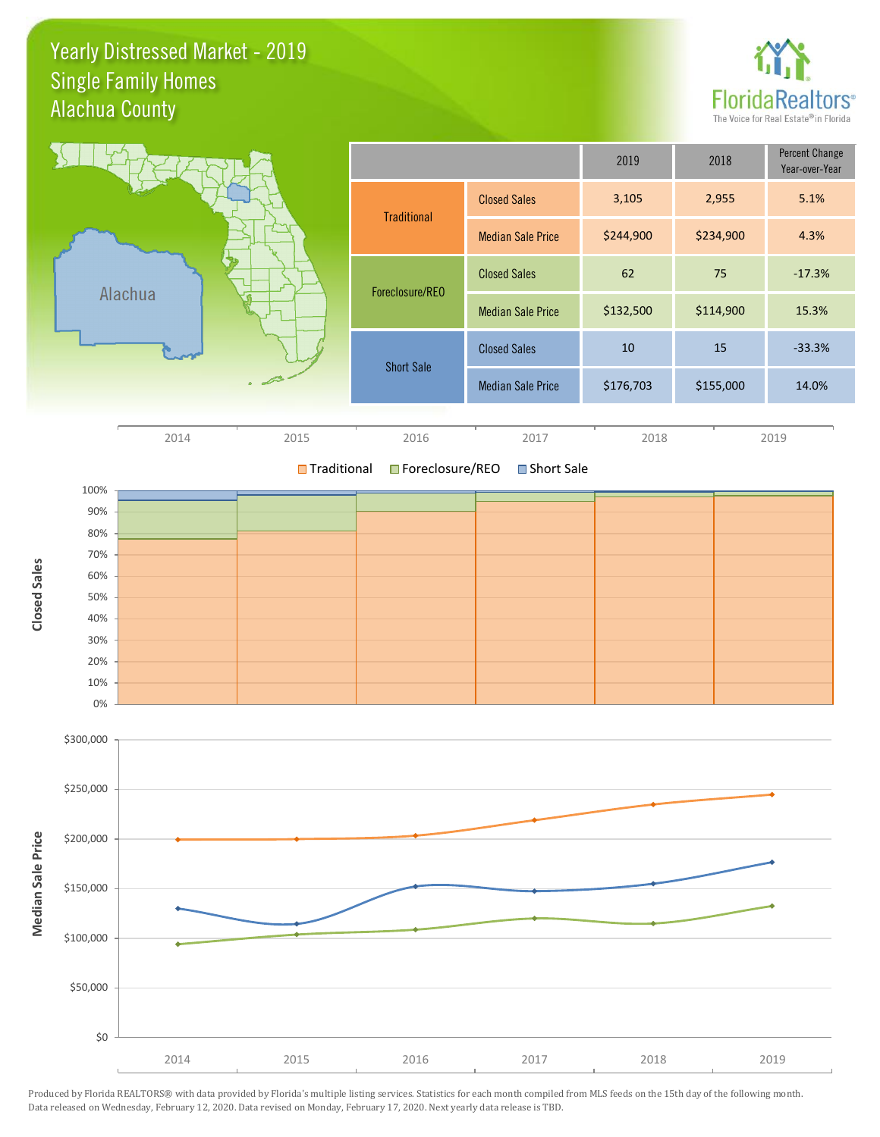### Yearly Distressed Market - 2019 Alachua County Single Family Homes



|         |                          |                          | 2019      | 2018      | <b>Percent Change</b><br>Year-over-Year |
|---------|--------------------------|--------------------------|-----------|-----------|-----------------------------------------|
|         | <b>Traditional</b>       | <b>Closed Sales</b>      | 3,105     | 2,955     | 5.1%                                    |
|         |                          | <b>Median Sale Price</b> | \$244,900 | \$234,900 | 4.3%                                    |
|         | Foreclosure/REO          | <b>Closed Sales</b>      | 62        | 75        | $-17.3%$                                |
| Alachua | <b>Median Sale Price</b> | \$132,500                | \$114,900 | 15.3%     |                                         |
|         | <b>Short Sale</b>        | <b>Closed Sales</b>      | 10        | 15        | $-33.3%$                                |
|         |                          | <b>Median Sale Price</b> | \$176,703 | \$155,000 | 14.0%                                   |
|         |                          |                          |           |           |                                         |



**■Traditional ■Foreclosure/REO** Short Sale

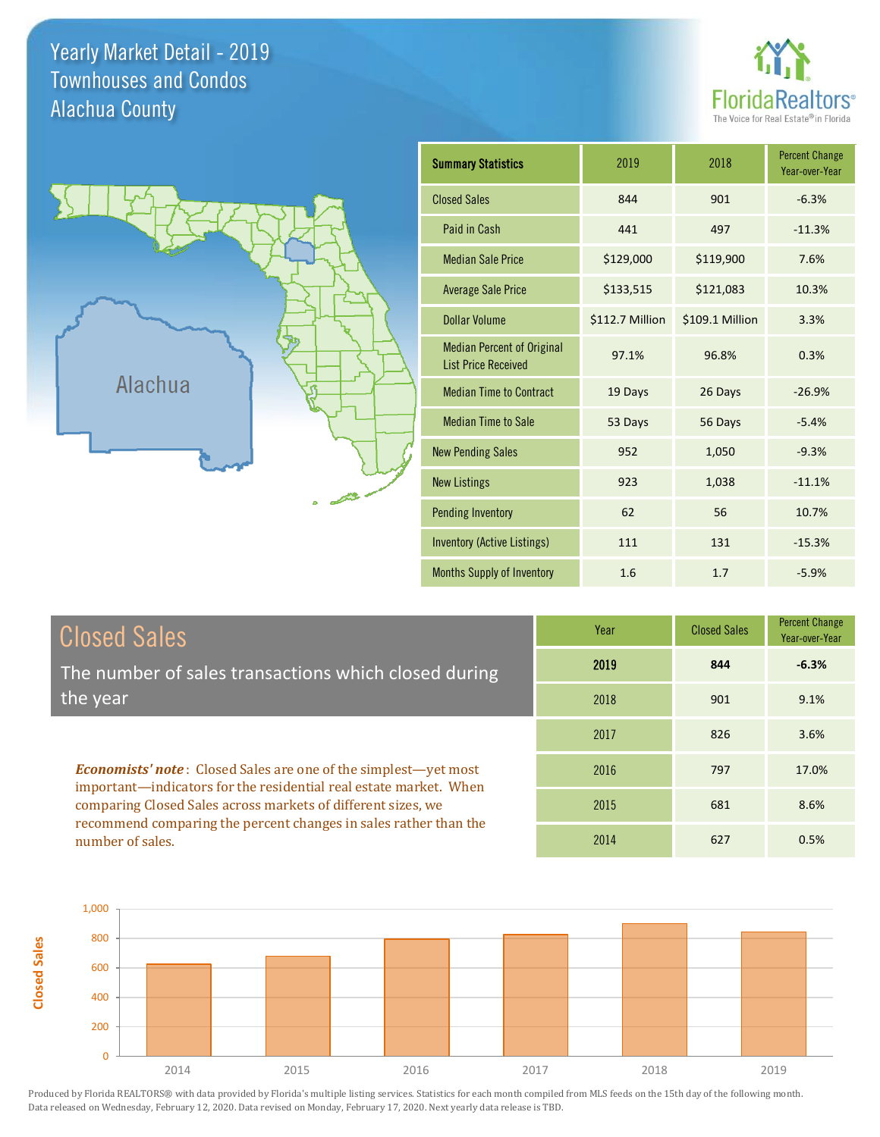Yearly Market Detail - 2019 Alachua County Townhouses and Condos



Percent Change Year-over-Year



| <b>Summary Statistics</b>                                       | 2019            | 2018            | <b>Percent Change</b><br>Year-over-Year |
|-----------------------------------------------------------------|-----------------|-----------------|-----------------------------------------|
| <b>Closed Sales</b>                                             | 844             | 901             | $-6.3%$                                 |
| Paid in Cash                                                    | 441             | 497             | $-11.3%$                                |
| <b>Median Sale Price</b>                                        | \$129,000       | \$119,900       | 7.6%                                    |
| <b>Average Sale Price</b>                                       | \$133,515       | \$121,083       | 10.3%                                   |
| <b>Dollar Volume</b>                                            | \$112.7 Million | \$109.1 Million | 3.3%                                    |
| <b>Median Percent of Original</b><br><b>List Price Received</b> | 97.1%           | 96.8%           | 0.3%                                    |
| <b>Median Time to Contract</b>                                  | 19 Days         | 26 Days         | $-26.9%$                                |
| <b>Median Time to Sale</b>                                      | 53 Days         | 56 Days         | $-5.4%$                                 |
| <b>New Pending Sales</b>                                        | 952             | 1,050           | $-9.3%$                                 |
| <b>New Listings</b>                                             | 923             | 1,038           | $-11.1%$                                |
| <b>Pending Inventory</b>                                        | 62              | 56              | 10.7%                                   |
| Inventory (Active Listings)                                     | 111             | 131             | $-15.3%$                                |
| Months Supply of Inventory                                      | 1.6             | 1.7             | $-5.9%$                                 |

| Closed Sales                                                                                                                                | Year | <b>Closed Sales</b> |  |
|---------------------------------------------------------------------------------------------------------------------------------------------|------|---------------------|--|
| The number of sales transactions which closed during                                                                                        | 2019 | 844                 |  |
| the year                                                                                                                                    | 2018 | 901                 |  |
|                                                                                                                                             | 2017 | 826                 |  |
| <b>Economists' note:</b> Closed Sales are one of the simplest—yet most<br>important—indicators for the residential real estate market. When | 2016 | 797                 |  |

important—indicators for the residential real estate comparing Closed Sales across markets of different sizes, we recommend comparing the percent changes in sales rather than the number of sales.

**Closed Sales**

| 2019 | 844 | $-6.3%$ |
|------|-----|---------|
| 2018 | 901 | 9.1%    |
| 2017 | 826 | 3.6%    |
| 2016 | 797 | 17.0%   |
| 2015 | 681 | 8.6%    |
| 2014 | 627 | 0.5%    |

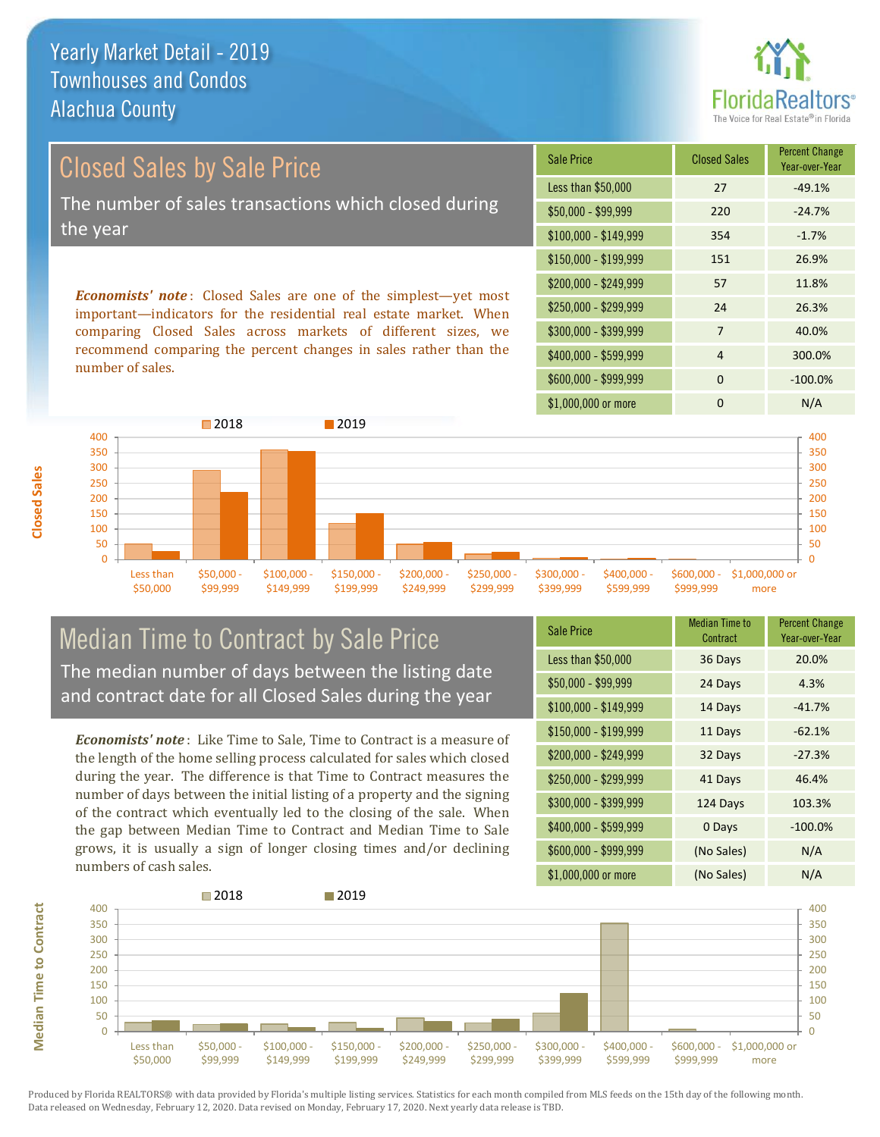Yearly Market Detail - 2019 Alachua County Townhouses and Condos



Closed Sales by Sale Price The number of sales transactions which closed during the year

*Economists' note* : Closed Sales are one of the simplest—yet most important—indicators for the residential real estate market. When comparing Closed Sales across markets of different sizes, we recommend comparing the percent changes in sales rather than the number of sales.

| <b>Sale Price</b>     | <b>Closed Sales</b> | <b>Percent Change</b><br>Year-over-Year |
|-----------------------|---------------------|-----------------------------------------|
| Less than \$50,000    | 27                  | $-49.1%$                                |
| $$50,000 - $99,999$   | 220                 | $-24.7%$                                |
| $$100,000 - $149,999$ | 354                 | $-1.7%$                                 |
| \$150,000 - \$199,999 | 151                 | 26.9%                                   |
| \$200,000 - \$249,999 | 57                  | 11.8%                                   |
| \$250,000 - \$299,999 | 24                  | 26.3%                                   |
| \$300,000 - \$399,999 | 7                   | 40.0%                                   |
| \$400,000 - \$599,999 | 4                   | 300.0%                                  |
| \$600,000 - \$999,999 | $\Omega$            | $-100.0%$                               |
| \$1,000,000 or more   | ŋ                   | N/A                                     |



Median Time to Contract by Sale Price The median number of days between the listing date and contract date for all Closed Sales during the year

*Economists' note* : Like Time to Sale, Time to Contract is a measure of the length of the home selling process calculated for sales which closed during the year. The difference is that Time to Contract measures the number of days between the initial listing of a property and the signing of the contract which eventually led to the closing of the sale. When the gap between Median Time to Contract and Median Time to Sale grows, it is usually a sign of longer closing times and/or declining numbers of cash sales.

| <b>Sale Price</b>     | <b>Median Time to</b><br>Contract | <b>Percent Change</b><br>Year-over-Year |
|-----------------------|-----------------------------------|-----------------------------------------|
| Less than \$50,000    | 36 Days                           | 20.0%                                   |
| \$50,000 - \$99,999   | 24 Days                           | 4.3%                                    |
| $$100,000 - $149,999$ | 14 Days                           | $-41.7%$                                |
| $$150,000 - $199,999$ | 11 Days                           | $-62.1%$                                |
| \$200,000 - \$249,999 | 32 Days                           | $-27.3%$                                |
| \$250,000 - \$299,999 | 41 Days                           | 46.4%                                   |
| \$300,000 - \$399,999 | 124 Days                          | 103.3%                                  |
| \$400,000 - \$599,999 | 0 Days                            | $-100.0%$                               |
| \$600,000 - \$999,999 | (No Sales)                        | N/A                                     |
| \$1,000,000 or more   | (No Sales)                        | N/A                                     |



**Median Time to Contract**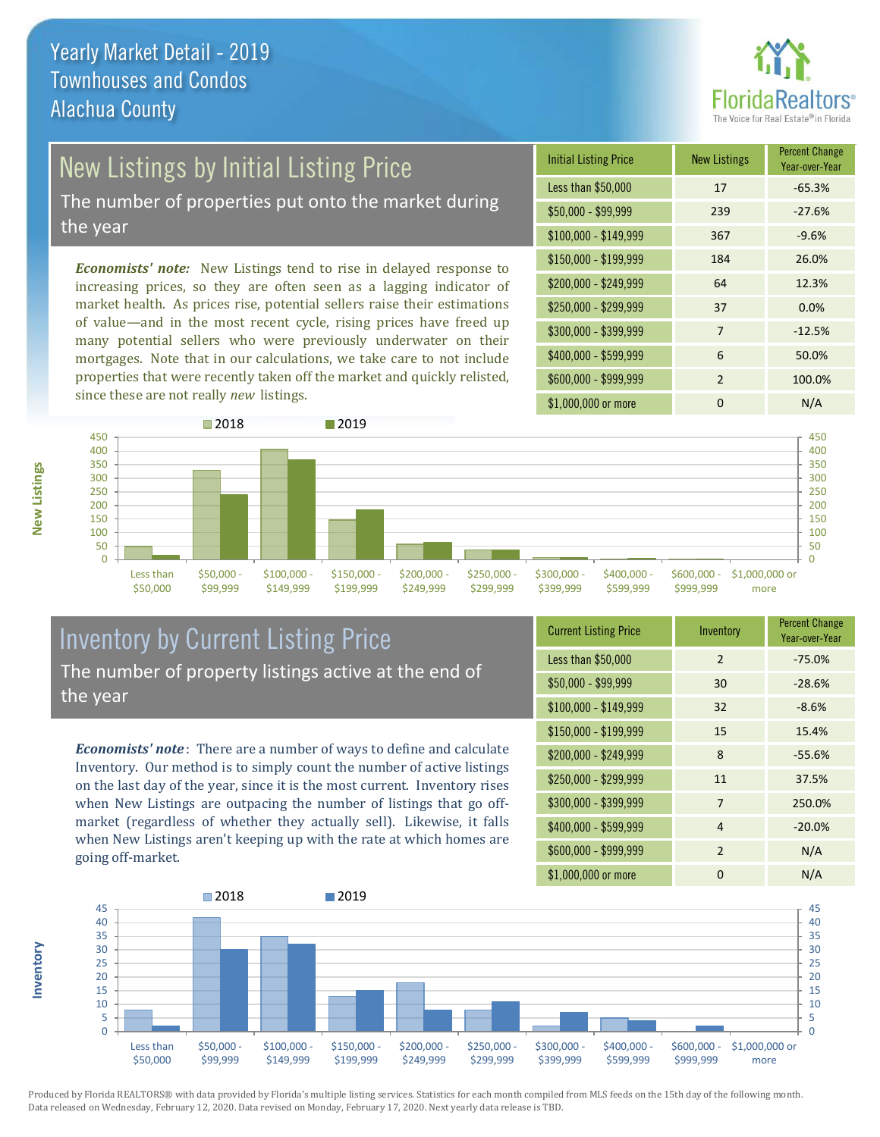

## New Listings by Initial Listing Price

The number of properties put onto the market during the year

*Economists' note:* New Listings tend to rise in delayed response to increasing prices, so they are often seen as a lagging indicator of market health. As prices rise, potential sellers raise their estimations of value—and in the most recent cycle, rising prices have freed up many potential sellers who were previously underwater on their mortgages. Note that in our calculations, we take care to not include properties that were recently taken off the market and quickly relisted, since these are not really *new* listings.

| <b>Initial Listing Price</b> | <b>New Listings</b> | <b>Percent Change</b><br>Year-over-Year |
|------------------------------|---------------------|-----------------------------------------|
| Less than \$50,000           | 17                  | $-65.3%$                                |
| \$50,000 - \$99,999          | 239                 | $-27.6%$                                |
| $$100,000 - $149,999$        | 367                 | $-9.6%$                                 |
| $$150,000 - $199,999$        | 184                 | 26.0%                                   |
| \$200,000 - \$249,999        | 64                  | 12.3%                                   |
| \$250,000 - \$299,999        | 37                  | 0.0%                                    |
| \$300,000 - \$399,999        | 7                   | $-12.5%$                                |
| \$400,000 - \$599,999        | 6                   | 50.0%                                   |
| \$600,000 - \$999,999        | $\mathcal{P}$       | 100.0%                                  |
| \$1,000,000 or more          | ŋ                   | N/A                                     |



### Inventory by Current Listing Price The number of property listings active at the end of the year

*Economists' note* : There are a number of ways to define and calculate Inventory. Our method is to simply count the number of active listings on the last day of the year, since it is the most current. Inventory rises when New Listings are outpacing the number of listings that go offmarket (regardless of whether they actually sell). Likewise, it falls when New Listings aren't keeping up with the rate at which homes are going off-market.

| <b>Current Listing Price</b> | Inventory      | <b>Percent Change</b><br>Year-over-Year |
|------------------------------|----------------|-----------------------------------------|
| Less than \$50,000           | $\mathcal{P}$  | $-75.0%$                                |
| $$50,000 - $99,999$          | 30             | $-28.6%$                                |
| $$100,000 - $149,999$        | 32             | $-8.6%$                                 |
| $$150,000 - $199,999$        | 15             | 15.4%                                   |
| \$200,000 - \$249,999        | 8              | $-55.6%$                                |
| \$250,000 - \$299,999        | 11             | 37.5%                                   |
| \$300,000 - \$399,999        | $\overline{7}$ | 250.0%                                  |
| \$400,000 - \$599,999        | 4              | $-20.0%$                                |
| \$600,000 - \$999,999        | $\overline{2}$ | N/A                                     |
| \$1,000,000 or more          | O              | N/A                                     |



Produced by Florida REALTORS® with data provided by Florida's multiple listing services. Statistics for each month compiled from MLS feeds on the 15th day of the following month. Data released on Wednesday, February 12, 2020. Data revised on Monday, February 17, 2020. Next yearly data release is TBD.

**Inventory**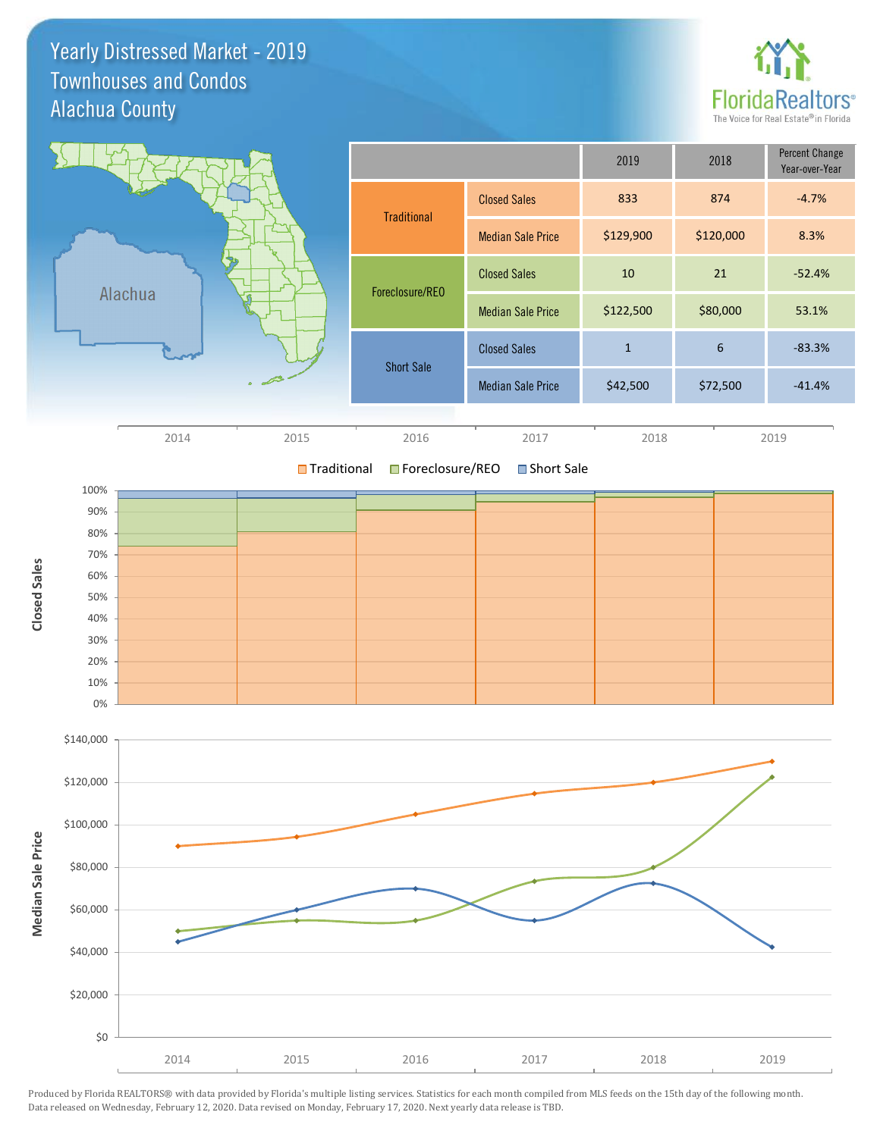Yearly Distressed Market - 2019 Alachua County Townhouses and Condos





**■Traditional ■Foreclosure/REO** Short Sale

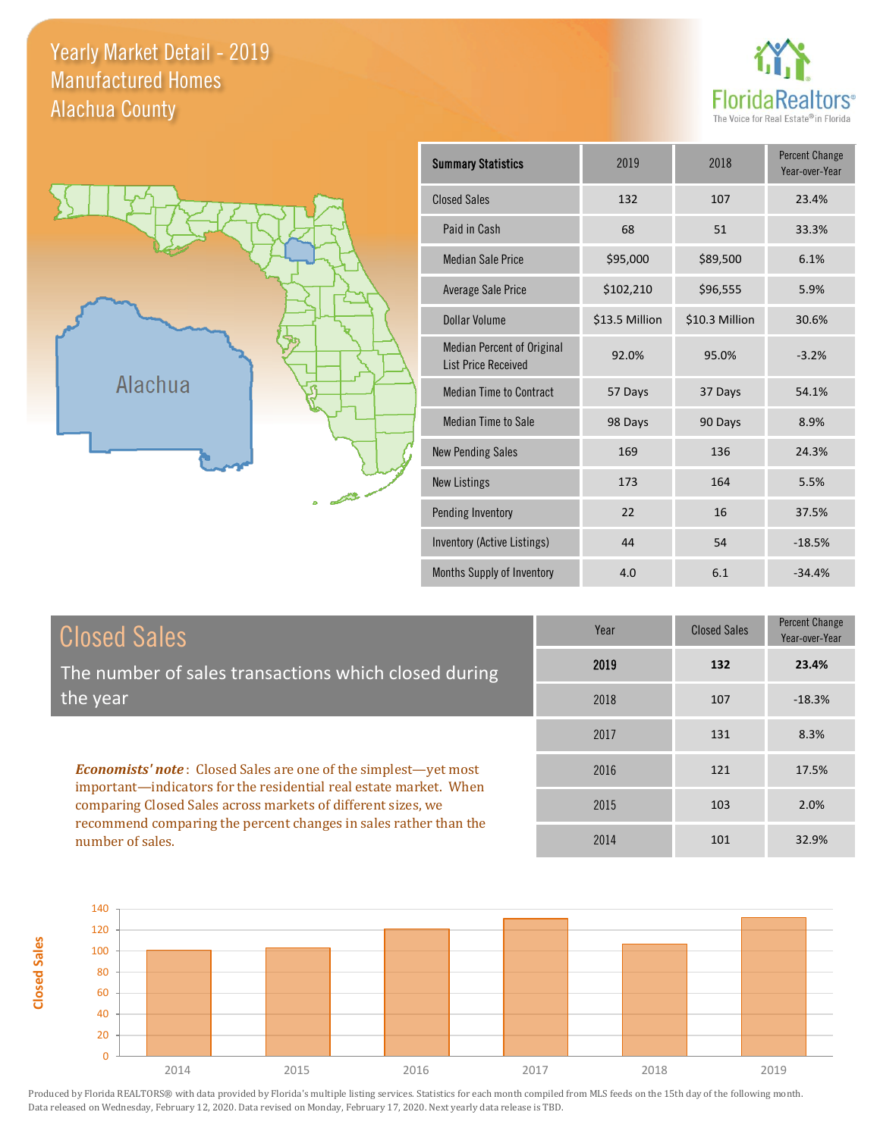### Yearly Market Detail - 2019 Alachua County Manufactured Homes



**Percent Change** 



| <b>Summary Statistics</b>                                       | 2019           | 2018           | <b>Percent Change</b><br>Year-over-Year |
|-----------------------------------------------------------------|----------------|----------------|-----------------------------------------|
| <b>Closed Sales</b>                                             | 132            | 107            | 23.4%                                   |
| Paid in Cash                                                    | 68             | 51             | 33.3%                                   |
| <b>Median Sale Price</b>                                        | \$95,000       | \$89,500       | 6.1%                                    |
| <b>Average Sale Price</b>                                       | \$102,210      | \$96,555       | 5.9%                                    |
| <b>Dollar Volume</b>                                            | \$13.5 Million | \$10.3 Million | 30.6%                                   |
| <b>Median Percent of Original</b><br><b>List Price Received</b> | 92.0%          | 95.0%          | $-3.2%$                                 |
| <b>Median Time to Contract</b>                                  | 57 Days        | 37 Days        | 54.1%                                   |
| <b>Median Time to Sale</b>                                      | 98 Days        | 90 Days        | 8.9%                                    |
| <b>New Pending Sales</b>                                        | 169            | 136            | 24.3%                                   |
| <b>New Listings</b>                                             | 173            | 164            | 5.5%                                    |
| <b>Pending Inventory</b>                                        | 22             | 16             | 37.5%                                   |
| Inventory (Active Listings)                                     | 44             | 54             | $-18.5%$                                |
| Months Supply of Inventory                                      | 4.0            | 6.1            | $-34.4%$                                |

| <b>Closed Sales</b>                                  | Year |
|------------------------------------------------------|------|
| The number of sales transactions which closed during | 2019 |
| the year                                             | 2018 |
|                                                      | 2017 |

*Economists' note* : Closed Sales are one of the simplest—yet most important—indicators for the residential real estate market. When comparing Closed Sales across markets of different sizes, we recommend comparing the percent changes in sales rather than the number of sales.

**Closed Sales**

| Year | <b>Closed Sales</b> | $\cdots$<br>Year-over-Year |
|------|---------------------|----------------------------|
| 2019 | 132                 | 23.4%                      |
| 2018 | 107                 | $-18.3%$                   |
| 2017 | 131                 | 8.3%                       |
| 2016 | 121                 | 17.5%                      |
| 2015 | 103                 | 2.0%                       |
| 2014 | 101                 | 32.9%                      |

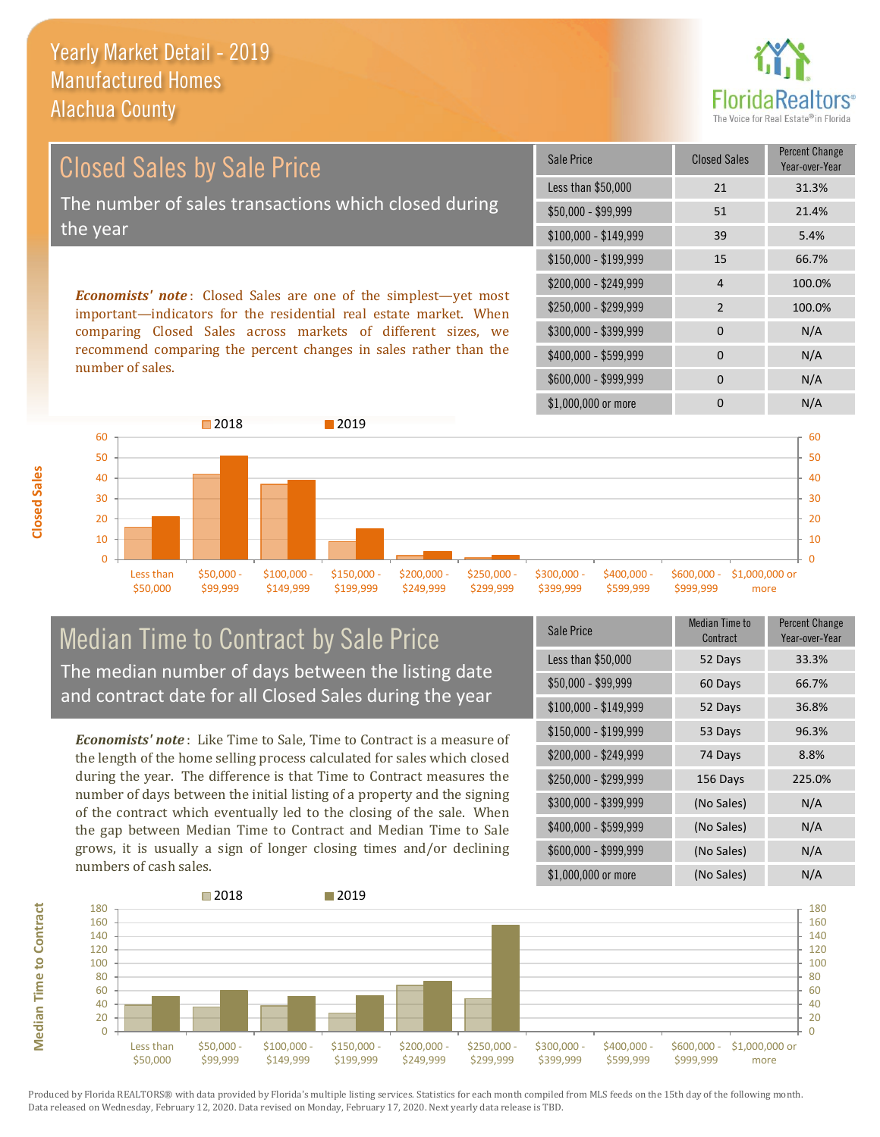

Closed Sales by Sale Price The number of sales transactions which closed during the year

*Economists' note* : Closed Sales are one of the simplest—yet most important—indicators for the residential real estate market. When comparing Closed Sales across markets of different sizes, we recommend comparing the percent changes in sales rather than the number of sales.

| Sale Price            | <b>Closed Sales</b> | <b>Percent Change</b><br>Year-over-Year |
|-----------------------|---------------------|-----------------------------------------|
| Less than \$50,000    | 21                  | 31.3%                                   |
| $$50,000 - $99,999$   | 51                  | 21.4%                                   |
| $$100,000 - $149,999$ | 39                  | 5.4%                                    |
| $$150,000 - $199,999$ | 15                  | 66.7%                                   |
| \$200,000 - \$249,999 | 4                   | 100.0%                                  |
| \$250,000 - \$299,999 | $\mathcal{P}$       | 100.0%                                  |
| \$300,000 - \$399,999 | 0                   | N/A                                     |
| \$400,000 - \$599,999 | $\Omega$            | N/A                                     |
| \$600,000 - \$999,999 | $\Omega$            | N/A                                     |
| \$1,000,000 or more   | ŋ                   | N/A                                     |



#### Median Time to Contract by Sale Price The median number of days between the listing date and contract date for all Closed Sales during the year

*Economists' note* : Like Time to Sale, Time to Contract is a measure of the length of the home selling process calculated for sales which closed during the year. The difference is that Time to Contract measures the number of days between the initial listing of a property and the signing of the contract which eventually led to the closing of the sale. When the gap between Median Time to Contract and Median Time to Sale grows, it is usually a sign of longer closing times and/or declining numbers of cash sales.

| Sale Price            | Median Time to<br>Contract | <b>Percent Change</b><br>Year-over-Year |
|-----------------------|----------------------------|-----------------------------------------|
| Less than \$50,000    | 52 Days                    | 33.3%                                   |
| \$50,000 - \$99,999   | 60 Days                    | 66.7%                                   |
| $$100,000 - $149,999$ | 52 Days                    | 36.8%                                   |
| $$150,000 - $199,999$ | 53 Days                    | 96.3%                                   |
| \$200,000 - \$249,999 | 74 Days                    | 8.8%                                    |
| \$250,000 - \$299,999 | 156 Days                   | 225.0%                                  |
| \$300,000 - \$399,999 | (No Sales)                 | N/A                                     |
| \$400,000 - \$599,999 | (No Sales)                 | N/A                                     |
| \$600,000 - \$999,999 | (No Sales)                 | N/A                                     |
| \$1,000,000 or more   | (No Sales)                 | N/A                                     |

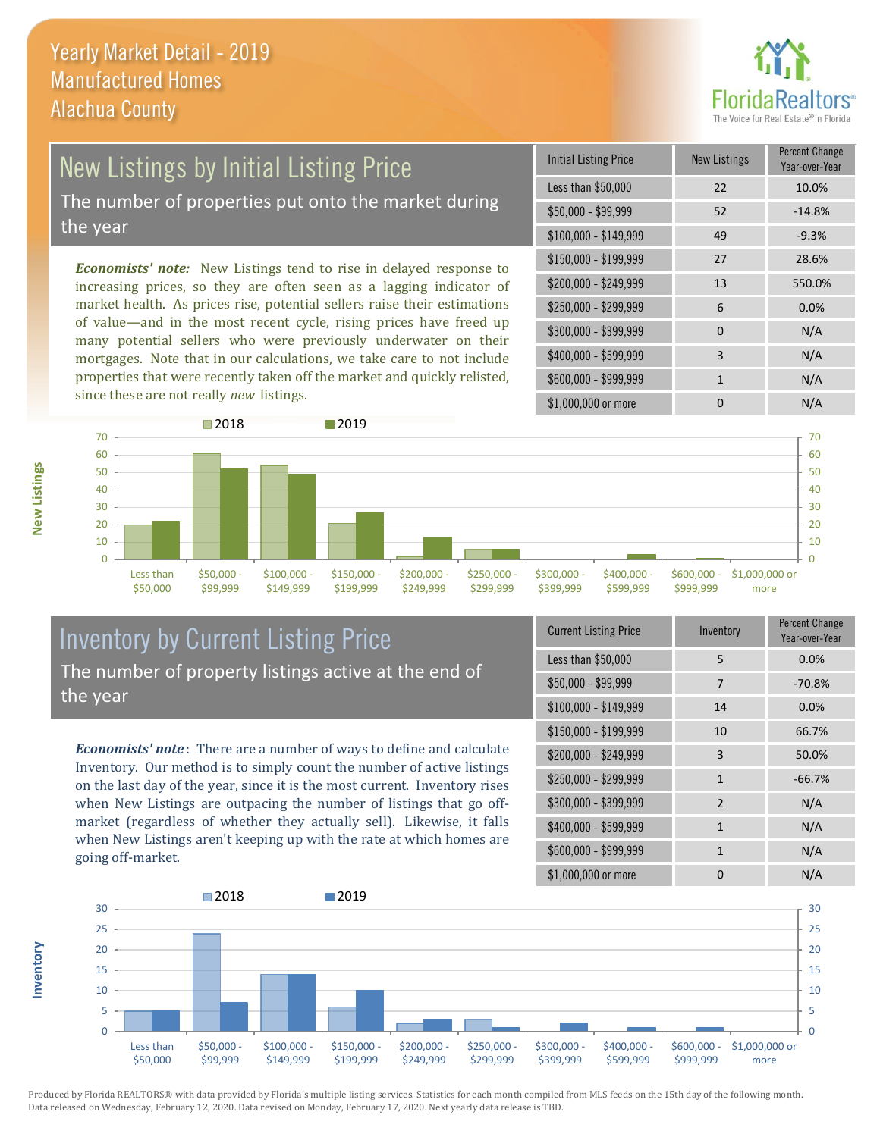

## New Listings by Initial Listing Price

The number of properties put onto the market during the year

*Economists' note:* New Listings tend to rise in delayed response to increasing prices, so they are often seen as a lagging indicator of market health. As prices rise, potential sellers raise their estimations of value—and in the most recent cycle, rising prices have freed up many potential sellers who were previously underwater on their mortgages. Note that in our calculations, we take care to not include properties that were recently taken off the market and quickly relisted, since these are not really *new* listings.





### Inventory by Current Listing Price The number of property listings active at the end of the year

*Economists' note* : There are a number of ways to define and calculate Inventory. Our method is to simply count the number of active listings on the last day of the year, since it is the most current. Inventory rises when New Listings are outpacing the number of listings that go offmarket (regardless of whether they actually sell). Likewise, it falls when New Listings aren't keeping up with the rate at which homes are going off-market.

| <b>Current Listing Price</b> | Inventory      | Percent Change<br>Year-over-Year |
|------------------------------|----------------|----------------------------------|
| Less than \$50,000           | 5              | 0.0%                             |
| $$50,000 - $99,999$          | 7              | $-70.8%$                         |
| $$100,000 - $149,999$        | 14             | 0.0%                             |
| $$150,000 - $199,999$        | 10             | 66.7%                            |
| \$200,000 - \$249,999        | 3              | 50.0%                            |
| \$250,000 - \$299,999        | 1              | $-66.7%$                         |
| \$300,000 - \$399,999        | $\overline{2}$ | N/A                              |
| \$400,000 - \$599,999        | $\mathbf{1}$   | N/A                              |
| \$600,000 - \$999,999        | $\mathbf{1}$   | N/A                              |
| \$1,000,000 or more          | 0              | N/A                              |



Produced by Florida REALTORS® with data provided by Florida's multiple listing services. Statistics for each month compiled from MLS feeds on the 15th day of the following month. Data released on Wednesday, February 12, 2020. Data revised on Monday, February 17, 2020. Next yearly data release is TBD.

**Inventory**